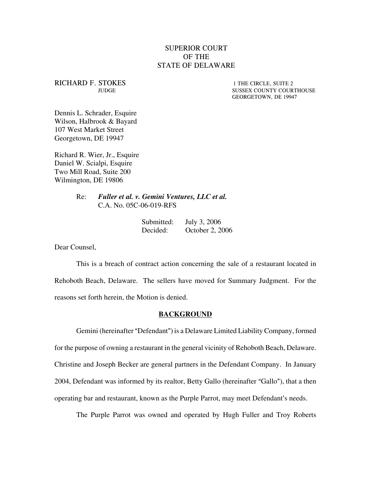# SUPERIOR COURT OF THE STATE OF DELAWARE

RICHARD F. STOKES 1 THE CIRCLE, SUITE 2

JUDGE SUSSEX COUNTY COURTHOUSE GEORGETOWN, DE 19947

Dennis L. Schrader, Esquire Wilson, Halbrook & Bayard 107 West Market Street Georgetown, DE 19947

Richard R. Wier, Jr., Esquire Daniel W. Scialpi, Esquire Two Mill Road, Suite 200 Wilmington, DE 19806

> Re: *Fuller et al. v. Gemini Ventures, LLC et al.* C.A. No. 05C-06-019-RFS

| Submitted: | July 3, 2006    |
|------------|-----------------|
| Decided:   | October 2, 2006 |

Dear Counsel,

This is a breach of contract action concerning the sale of a restaurant located in Rehoboth Beach, Delaware. The sellers have moved for Summary Judgment. For the reasons set forth herein, the Motion is denied.

### **BACKGROUND**

Gemini (hereinafter "Defendant") is a Delaware Limited Liability Company, formed for the purpose of owning a restaurant in the general vicinity of Rehoboth Beach, Delaware. Christine and Joseph Becker are general partners in the Defendant Company. In January 2004, Defendant was informed by its realtor, Betty Gallo (hereinafter "Gallo"), that a then operating bar and restaurant, known as the Purple Parrot, may meet Defendant's needs.

The Purple Parrot was owned and operated by Hugh Fuller and Troy Roberts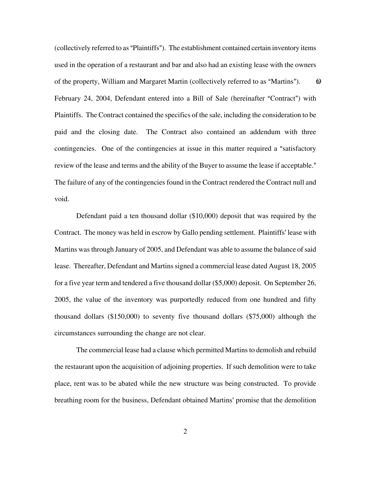(collectively referred to as "Plaintiffs"). The establishment contained certain inventory items used in the operation of a restaurant and bar and also had an existing lease with the owners of the property, William and Margaret Martin (collectively referred to as "Martins").  $\qquad \qquad \textcircled{\scriptsize{1}}$ February 24, 2004, Defendant entered into a Bill of Sale (hereinafter "Contract") with Plaintiffs. The Contract contained the specifics of the sale, including the consideration to be paid and the closing date. The Contract also contained an addendum with three contingencies. One of the contingencies at issue in this matter required a "satisfactory" review of the lease and terms and the ability of the Buyer to assume the lease if acceptable." The failure of any of the contingencies found in the Contract rendered the Contract null and void.

Defendant paid a ten thousand dollar (\$10,000) deposit that was required by the Contract. The money was held in escrow by Gallo pending settlement. Plaintiffs' lease with Martins was through January of 2005, and Defendant was able to assume the balance of said lease. Thereafter, Defendant and Martins signed a commercial lease dated August 18, 2005 for a five year term and tendered a five thousand dollar (\$5,000) deposit. On September 26, 2005, the value of the inventory was purportedly reduced from one hundred and fifty thousand dollars (\$150,000) to seventy five thousand dollars (\$75,000) although the circumstances surrounding the change are not clear.

The commercial lease had a clause which permitted Martins to demolish and rebuild the restaurant upon the acquisition of adjoining properties. If such demolition were to take place, rent was to be abated while the new structure was being constructed. To provide breathing room for the business, Defendant obtained Martins' promise that the demolition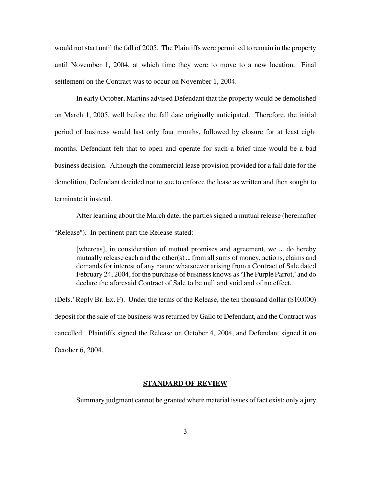would not start until the fall of 2005. The Plaintiffs were permitted to remain in the property until November 1, 2004, at which time they were to move to a new location. Final settlement on the Contract was to occur on November 1, 2004.

In early October, Martins advised Defendant that the property would be demolished on March 1, 2005, well before the fall date originally anticipated. Therefore, the initial period of business would last only four months, followed by closure for at least eight months. Defendant felt that to open and operate for such a brief time would be a bad business decision. Although the commercial lease provision provided for a fall date for the demolition, Defendant decided not to sue to enforce the lease as written and then sought to terminate it instead.

After learning about the March date, the parties signed a mutual release (hereinafter "Release"). In pertinent part the Release stated:

[whereas], in consideration of mutual promises and agreement, we ... do hereby mutually release each and the other $(s)$  ... from all sums of money, actions, claims and demands for interest of any nature whatsoever arising from a Contract of Sale dated February 24, 2004, for the purchase of business knows as 'The Purple Parrot,' and do declare the aforesaid Contract of Sale to be null and void and of no effect.

(Defs.' Reply Br. Ex. F). Under the terms of the Release, the ten thousand dollar ( $$10,000$ ) deposit for the sale of the business was returned by Gallo to Defendant, and the Contract was cancelled. Plaintiffs signed the Release on October 4, 2004, and Defendant signed it on October 6, 2004.

### **STANDARD OF REVIEW**

Summary judgment cannot be granted where material issues of fact exist; only a jury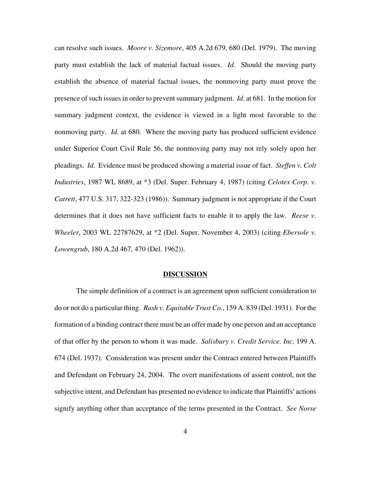can resolve such issues. *Moore v. Sizemore*, 405 A.2d 679, 680 (Del. 1979). The moving party must establish the lack of material factual issues. *Id.* Should the moving party establish the absence of material factual issues, the nonmoving party must prove the presence of such issues in order to prevent summary judgment. *Id*. at 681. In the motion for summary judgment context, the evidence is viewed in a light most favorable to the nonmoving party. *Id.* at 680. Where the moving party has produced sufficient evidence under Superior Court Civil Rule 56, the nonmoving party may not rely solely upon her pleadings. *Id*. Evidence must be produced showing a material issue of fact. *Steffen v. Colt Industries*, 1987 WL 8689, at \*3 (Del. Super. February 4, 1987) (citing *Celotex Corp. v. Catrett*, 477 U.S. 317, 322-323 (1986)). Summary judgment is not appropriate if the Court determines that it does not have sufficient facts to enable it to apply the law. *Reese v. Wheeler*, 2003 WL 22787629, at \*2 (Del. Super. November 4, 2003) (citing *Ebersole v. Lowengrub*, 180 A.2d 467, 470 (Del. 1962)).

#### **DISCUSSION**

The simple definition of a contract is an agreement upon sufficient consideration to do or not do a particular thing. *Rash v. Equitable Trust Co.*, 159 A. 839 (Del. 1931). For the formation of a binding contract there must be an offer made by one person and an acceptance of that offer by the person to whom it was made. *Salisbury v. Credit Service. Inc,* 199 A. 674 (Del. 1937). Consideration was present under the Contract entered between Plaintiffs and Defendant on February 24, 2004. The overt manifestations of assent control, not the subjective intent, and Defendant has presented no evidence to indicate that Plaintiffs' actions signify anything other than acceptance of the terms presented in the Contract. *See Norse*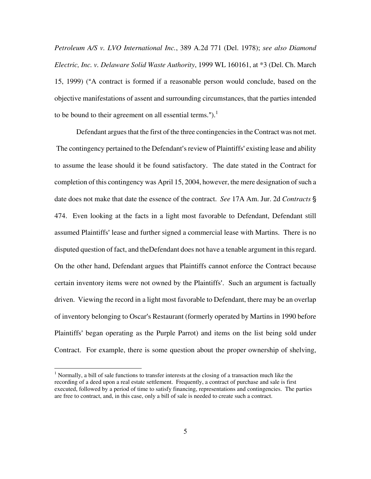*Petroleum A/S v. LVO International Inc.*, 389 A.2d 771 (Del. 1978); *see also Diamond Electric, Inc. v. Delaware Solid Waste Authority*, 1999 WL 160161, at \*3 (Del. Ch. March 15, 1999) ("A contract is formed if a reasonable person would conclude, based on the objective manifestations of assent and surrounding circumstances, that the parties intended to be bound to their agreement on all essential terms.").<sup>[1](#page-4-0)</sup>

Defendant argues that the first of the three contingencies in the Contract was not met. The contingency pertained to the Defendant's review of Plaintiffs' existing lease and ability to assume the lease should it be found satisfactory. The date stated in the Contract for completion of this contingency was April 15, 2004, however, the mere designation of such a date does not make that date the essence of the contract. *See* 17A Am. Jur. 2d *Contracts* ' 474. Even looking at the facts in a light most favorable to Defendant, Defendant still assumed Plaintiffs' lease and further signed a commercial lease with Martins. There is no disputed question of fact, and theDefendant does not have a tenable argument in this regard. On the other hand, Defendant argues that Plaintiffs cannot enforce the Contract because certain inventory items were not owned by the Plaintiffs'. Such an argument is factually driven. Viewing the record in a light most favorable to Defendant, there may be an overlap of inventory belonging to Oscar's Restaurant (formerly operated by Martins in 1990 before Plaintiffs' began operating as the Purple Parrot) and items on the list being sold under Contract. For example, there is some question about the proper ownership of shelving,

<span id="page-4-0"></span> $\frac{1}{1}$ <sup>1</sup> Normally, a bill of sale functions to transfer interests at the closing of a transaction much like the recording of a deed upon a real estate settlement. Frequently, a contract of purchase and sale is first executed, followed by a period of time to satisfy financing, representations and contingencies. The parties are free to contract, and, in this case, only a bill of sale is needed to create such a contract.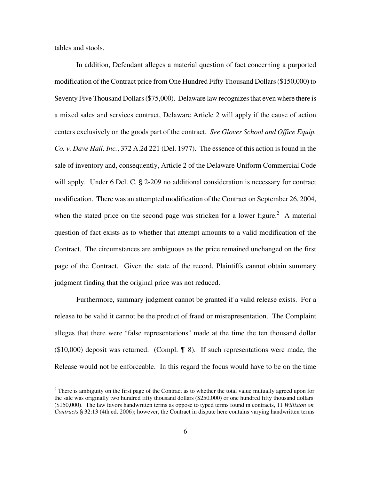<span id="page-5-0"></span>tables and stools.

In addition, Defendant alleges a material question of fact concerning a purported modification of the Contract price from One Hundred Fifty Thousand Dollars (\$150,000) to Seventy Five Thousand Dollars (\$75,000). Delaware law recognizes that even where there is a mixed sales and services contract, Delaware Article 2 will apply if the cause of action centers exclusively on the goods part of the contract. *See Glover School and Office Equip. Co. v. Dave Hall, Inc.*, 372 A.2d 221 (Del. 1977). The essence of this action is found in the sale of inventory and, consequently, Article 2 of the Delaware Uniform Commercial Code will apply. Under 6 Del. C.  $\S$  2-209 no additional consideration is necessary for contract modification. There was an attempted modification of the Contract on September 26, 2004, when the stated price on the second page was stricken for a lower figure.<sup>2</sup> A material question of fact exists as to whether that attempt amounts to a valid modification of the Contract. The circumstances are ambiguous as the price remained unchanged on the first page of the Contract. Given the state of the record, Plaintiffs cannot obtain summary judgment finding that the original price was not reduced.

Furthermore, summary judgment cannot be granted if a valid release exists. For a release to be valid it cannot be the product of fraud or misrepresentation. The Complaint alleges that there were "false representations" made at the time the ten thousand dollar  $(10,000)$  deposit was returned. (Compl. **1** 8). If such representations were made, the Release would not be enforceable. In this regard the focus would have to be on the time

 $\frac{1}{2}$ <sup>2</sup> There is ambiguity on the first page of the Contract as to whether the total value mutually agreed upon for the sale was originally two hundred fifty thousand dollars (\$250,000) or one hundred fifty thousand dollars (\$150,000). The law favors handwritten terms as oppose to typed terms found in contracts, 11 *Williston on Contracts* § 32:13 (4th ed. 2006); however, the Contract in dispute here contains varying handwritten terms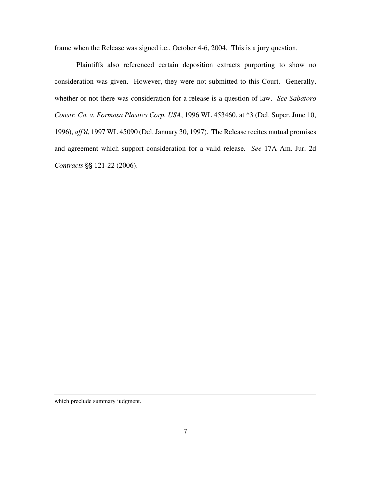frame when the Release was signed i.e., October 4-6, 2004. This is a jury question.

Plaintiffs also referenced certain deposition extracts purporting to show no consideration was given. However, they were not submitted to this Court. Generally, whether or not there was consideration for a release is a question of law. *See Sabatoro Constr. Co. v. Formosa Plastics Corp. USA*, 1996 WL 453460, at \*3 (Del. Super. June 10, 1996), *aff'd*, 1997 WL 45090 (Del. January 30, 1997). The Release recites mutual promises and agreement which support consideration for a valid release. *See* 17A Am. Jur. 2d Contracts §§ 121-22 (2006).

which preclude summary judgment.

 $\overline{\phantom{a}}$